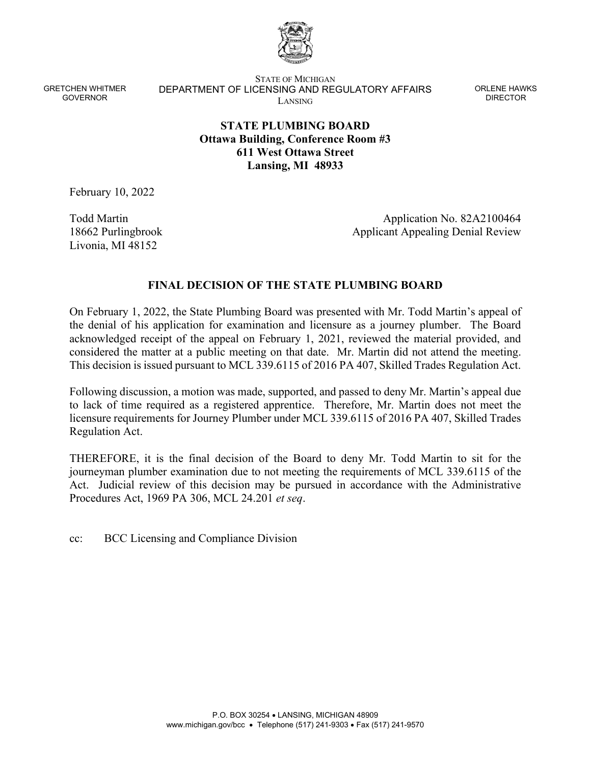

STATE OF MICHIGAN DEPARTMENT OF LICENSING AND REGULATORY AFFAIRS LANSING

ORLENE HAWKS DIRECTOR

# **STATE PLUMBING BOARD Ottawa Building, Conference Room #3 611 West Ottawa Street Lansing, MI 48933**

February 10, 2022

Todd Martin 18662 Purlingbrook Livonia, MI 48152

Application No. 82A2100464 Applicant Appealing Denial Review

## **FINAL DECISION OF THE STATE PLUMBING BOARD**

On February 1, 2022, the State Plumbing Board was presented with Mr. Todd Martin's appeal of the denial of his application for examination and licensure as a journey plumber. The Board acknowledged receipt of the appeal on February 1, 2021, reviewed the material provided, and considered the matter at a public meeting on that date. Mr. Martin did not attend the meeting. This decision is issued pursuant to MCL 339.6115 of 2016 PA 407, Skilled Trades Regulation Act.

Following discussion, a motion was made, supported, and passed to deny Mr. Martin's appeal due to lack of time required as a registered apprentice. Therefore, Mr. Martin does not meet the licensure requirements for Journey Plumber under MCL 339.6115 of 2016 PA 407, Skilled Trades Regulation Act.

THEREFORE, it is the final decision of the Board to deny Mr. Todd Martin to sit for the journeyman plumber examination due to not meeting the requirements of MCL 339.6115 of the Act. Judicial review of this decision may be pursued in accordance with the Administrative Procedures Act, 1969 PA 306, MCL 24.201 *et seq*.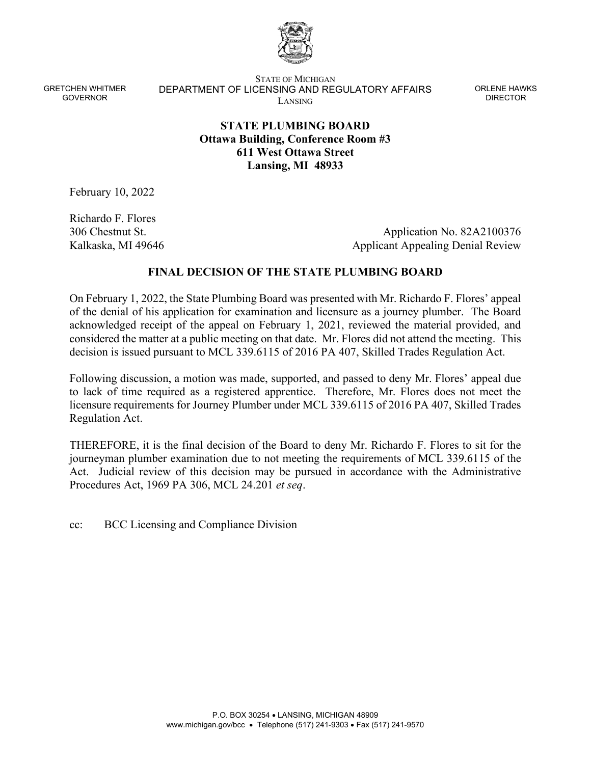

STATE OF MICHIGAN DEPARTMENT OF LICENSING AND REGULATORY AFFAIRS LANSING

ORLENE HAWKS DIRECTOR

# **STATE PLUMBING BOARD Ottawa Building, Conference Room #3 611 West Ottawa Street Lansing, MI 48933**

February 10, 2022

Richardo F. Flores 306 Chestnut St. Kalkaska, MI 49646

Application No. 82A2100376 Applicant Appealing Denial Review

## **FINAL DECISION OF THE STATE PLUMBING BOARD**

On February 1, 2022, the State Plumbing Board was presented with Mr. Richardo F. Flores' appeal of the denial of his application for examination and licensure as a journey plumber. The Board acknowledged receipt of the appeal on February 1, 2021, reviewed the material provided, and considered the matter at a public meeting on that date. Mr. Flores did not attend the meeting. This decision is issued pursuant to MCL 339.6115 of 2016 PA 407, Skilled Trades Regulation Act.

Following discussion, a motion was made, supported, and passed to deny Mr. Flores' appeal due to lack of time required as a registered apprentice. Therefore, Mr. Flores does not meet the licensure requirements for Journey Plumber under MCL 339.6115 of 2016 PA 407, Skilled Trades Regulation Act.

THEREFORE, it is the final decision of the Board to deny Mr. Richardo F. Flores to sit for the journeyman plumber examination due to not meeting the requirements of MCL 339.6115 of the Act. Judicial review of this decision may be pursued in accordance with the Administrative Procedures Act, 1969 PA 306, MCL 24.201 *et seq*.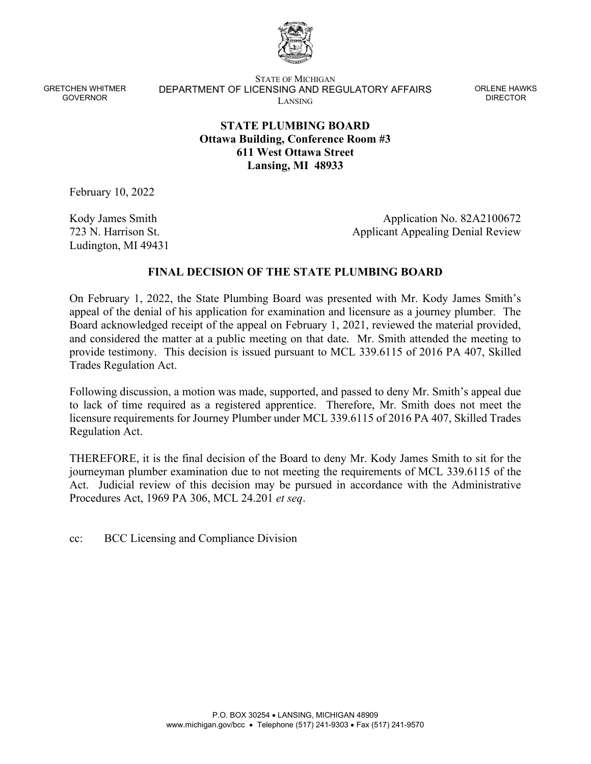

STATE OF MICHIGAN DEPARTMENT OF LICENSING AND REGULATORY AFFAIRS LANSING

ORLENE HAWKS DIRECTOR

# **STATE PLUMBING BOARD Ottawa Building, Conference Room #3 611 West Ottawa Street Lansing, MI 48933**

February 10, 2022

Kody James Smith 723 N. Harrison St. Ludington, MI 49431

Application No. 82A2100672 Applicant Appealing Denial Review

#### **FINAL DECISION OF THE STATE PLUMBING BOARD**

On February 1, 2022, the State Plumbing Board was presented with Mr. Kody James Smith's appeal of the denial of his application for examination and licensure as a journey plumber. The Board acknowledged receipt of the appeal on February 1, 2021, reviewed the material provided, and considered the matter at a public meeting on that date. Mr. Smith attended the meeting to provide testimony. This decision is issued pursuant to MCL 339.6115 of 2016 PA 407, Skilled Trades Regulation Act.

Following discussion, a motion was made, supported, and passed to deny Mr. Smith's appeal due to lack of time required as a registered apprentice. Therefore, Mr. Smith does not meet the licensure requirements for Journey Plumber under MCL 339.6115 of 2016 PA 407, Skilled Trades Regulation Act.

THEREFORE, it is the final decision of the Board to deny Mr. Kody James Smith to sit for the journeyman plumber examination due to not meeting the requirements of MCL 339.6115 of the Act. Judicial review of this decision may be pursued in accordance with the Administrative Procedures Act, 1969 PA 306, MCL 24.201 *et seq*.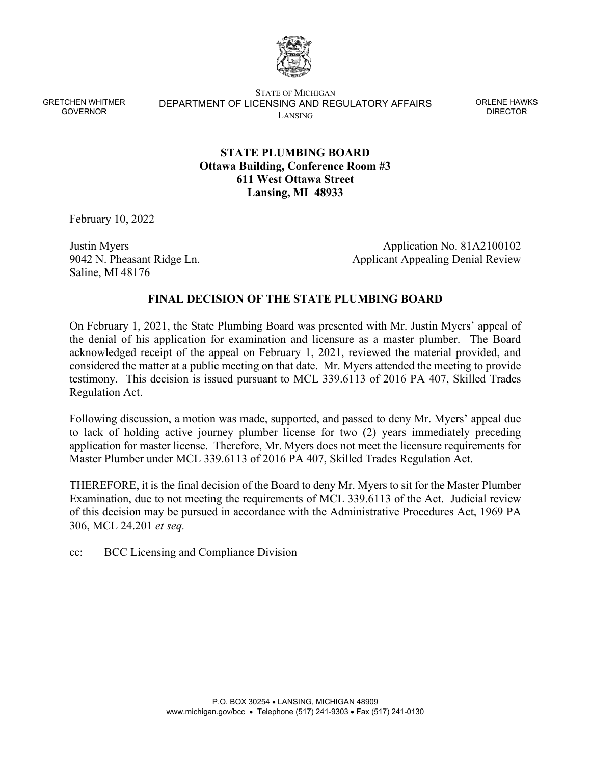

STATE OF MICHIGAN DEPARTMENT OF LICENSING AND REGULATORY AFFAIRS LANSING

ORLENE HAWKS DIRECTOR

# **STATE PLUMBING BOARD Ottawa Building, Conference Room #3 611 West Ottawa Street Lansing, MI 48933**

February 10, 2022

Justin Myers 9042 N. Pheasant Ridge Ln. Saline, MI 48176

Application No. 81A2100102 Applicant Appealing Denial Review

#### **FINAL DECISION OF THE STATE PLUMBING BOARD**

On February 1, 2021, the State Plumbing Board was presented with Mr. Justin Myers' appeal of the denial of his application for examination and licensure as a master plumber. The Board acknowledged receipt of the appeal on February 1, 2021, reviewed the material provided, and considered the matter at a public meeting on that date. Mr. Myers attended the meeting to provide testimony. This decision is issued pursuant to MCL 339.6113 of 2016 PA 407, Skilled Trades Regulation Act.

Following discussion, a motion was made, supported, and passed to deny Mr. Myers' appeal due to lack of holding active journey plumber license for two (2) years immediately preceding application for master license. Therefore, Mr. Myers does not meet the licensure requirements for Master Plumber under MCL 339.6113 of 2016 PA 407, Skilled Trades Regulation Act.

THEREFORE, it is the final decision of the Board to deny Mr. Myers to sit for the Master Plumber Examination, due to not meeting the requirements of MCL 339.6113 of the Act. Judicial review of this decision may be pursued in accordance with the Administrative Procedures Act, 1969 PA 306, MCL 24.201 *et seq.*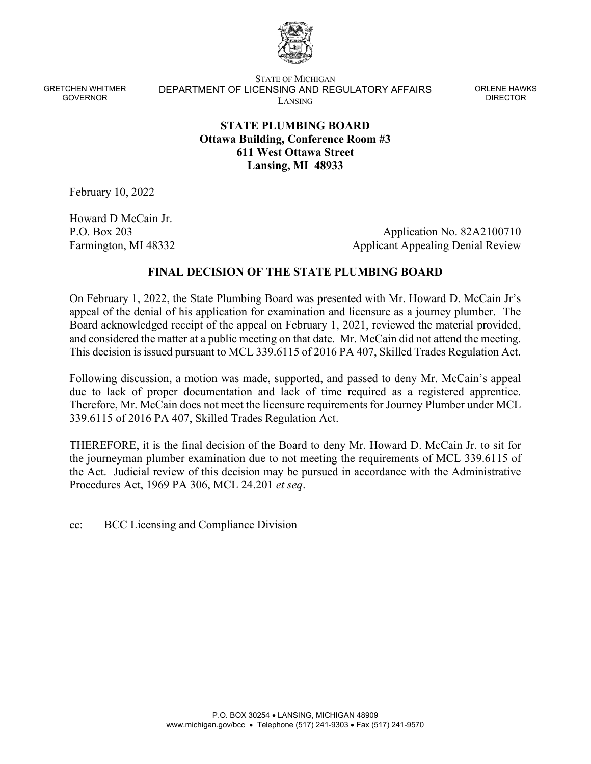

STATE OF MICHIGAN DEPARTMENT OF LICENSING AND REGULATORY AFFAIRS LANSING

ORLENE HAWKS DIRECTOR

# **STATE PLUMBING BOARD Ottawa Building, Conference Room #3 611 West Ottawa Street Lansing, MI 48933**

February 10, 2022

Howard D McCain Jr. P.O. Box 203 Farmington, MI 48332

Application No. 82A2100710 Applicant Appealing Denial Review

# **FINAL DECISION OF THE STATE PLUMBING BOARD**

On February 1, 2022, the State Plumbing Board was presented with Mr. Howard D. McCain Jr's appeal of the denial of his application for examination and licensure as a journey plumber. The Board acknowledged receipt of the appeal on February 1, 2021, reviewed the material provided, and considered the matter at a public meeting on that date. Mr. McCain did not attend the meeting. This decision is issued pursuant to MCL 339.6115 of 2016 PA 407, Skilled Trades Regulation Act.

Following discussion, a motion was made, supported, and passed to deny Mr. McCain's appeal due to lack of proper documentation and lack of time required as a registered apprentice. Therefore, Mr. McCain does not meet the licensure requirements for Journey Plumber under MCL 339.6115 of 2016 PA 407, Skilled Trades Regulation Act.

THEREFORE, it is the final decision of the Board to deny Mr. Howard D. McCain Jr. to sit for the journeyman plumber examination due to not meeting the requirements of MCL 339.6115 of the Act. Judicial review of this decision may be pursued in accordance with the Administrative Procedures Act, 1969 PA 306, MCL 24.201 *et seq*.